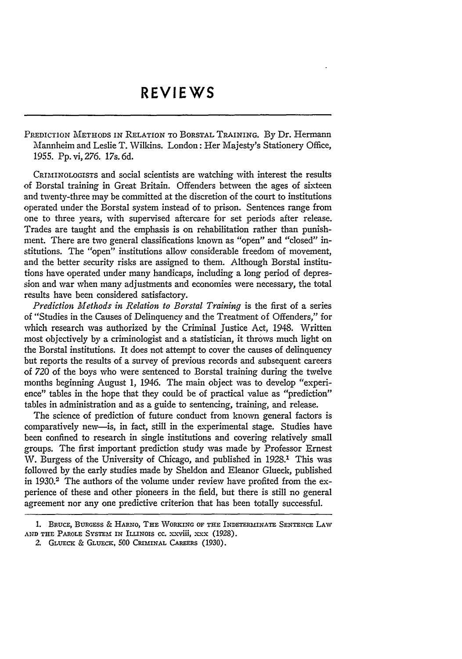PREDICTION METHODS IN RELATION TO BORSTAL TRAINING. By Dr. Hermann Mannheim and Leslie T. Wilkins. London: Her Majesty's Stationery Office, 1955. Pp. vi, 276. 17s. 6d.

CRIAIINOLOGISTs and social scientists are watching with interest the results of Borstal training in Great Britain. Offenders between the ages of sixteen and twenty-three may be committed at the discretion of the court to institutions operated under the Borstal system instead of to prison. Sentences range from one to three years, with supervised aftercare for set periods after release. Trades are taught and the emphasis is on rehabilitation rather than punishment. There are two general classifications known as "open" and "closed" institutions. The "open" institutions allow considerable freedom of movement, and the better security risks are assigned to them. Although Borstal institutions have operated under many handicaps, including a long period of depression and war when many adjustments and economies were necessary, the total results have been considered satisfactory.

*Prediction Methods in Relation to Borstal Training* is the first of a series of "Studies in the Causes of Delinquency and the Treatment of Offenders," for which research was authorized by the Criminal Justice Act, 1948. Written most objectively by a criminologist and a statistician, it throws much light on the Borstal institutions. It does not attempt to cover the causes of delinquency but reports the results of a survey of previous records and subsequent careers of 720 of the boys who were sentenced to Borstal training during the twelve months beginning August 1, 1946. The main object was to develop "experience" tables in the hope that they could be of practical value as "prediction" tables in administration and as a guide to sentencing, training, and release.

The science of prediction of future conduct from known general factors is comparatively new-is, in fact, still in the experimental stage. Studies have been confined to research in single institutions and covering relatively small groups. The first important prediction study was made by Professor Ernest W. Burgess of the University of Chicago, and published in 1928.<sup>1</sup> This was followed by the early studies made by Sheldon and Eleanor Glueck, published in 1930.<sup>2</sup> The authors of the volume under review have profited from the experience of these and other pioneers in the field, but there is still no general agreement nor any one predictive criterion that has been totally successful.

2. **GLUECK** & **GLUECK,** 500 CRIMINAL **CAREERS** (1930).

<sup>1.</sup> BRucE, BURGEss & HARNO, THE WORKING OF **THE** INDETERMINATE SENTENCE LAW **AND THE** PAROLE SYSTEM **IN** ILLINOIS **CC. xxVifi,** XXX (1928).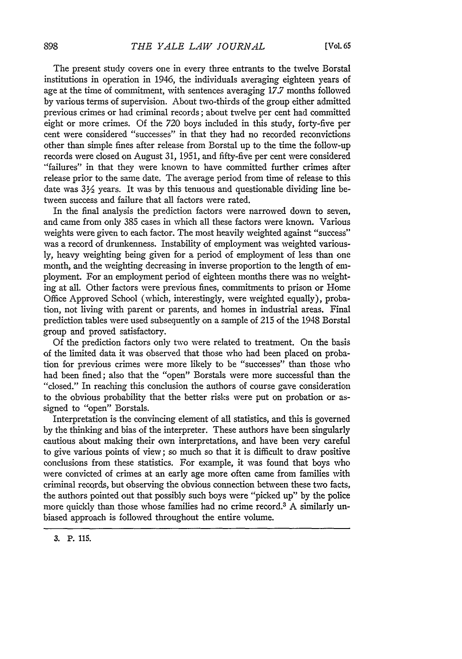The present study covers one in every three entrants to the twelve Borstal institutions in operation in 1946, the individuals averaging eighteen years of age at the time of commitment, with sentences averaging 17.7 months followed by various terms of supervision. About two-thirds of the group either admitted previous crimes or had criminal records; about twelve per cent bad committed eight or more crimes. Of the 720 boys included in this study, forty-five per cent were considered "successes" in that they had no recorded reconvictions other than simple fines after release from Borstal up to the time the follow-up records were closed on August 31, 1951, and fifty-five per cent were considered "failures" in that they were known to have committed further crimes after release prior to the same date. The average period from time of release to this date was  $3\frac{1}{2}$  years. It was by this tenuous and questionable dividing line between success and failure that all factors were rated.

In the final analysis the prediction factors were narrowed down to seven, and came from only 385 cases in which all these factors were known. Various weights were given to each factor. The most heavily weighted against "success" was a record of drunkenness. Instability of employment was weighted variously, heavy weighting being given for a period of employment of less than one month, and the weighting decreasing in inverse proportion to the length of employment. For an employment period of eighteen months there was no weighting at all. Other factors were previous fines, commitments to prison or Home Office Approved School (which, interestingly, were weighted equally), probation, not living with parent or parents, and homes in industrial areas. Final prediction tables were used subsequently on a sample of 215 of the 1948 Borstal group and proved satisfactory.

Of the prediction factors only two were related to treatment. On the basis of the limited data it was observed that those who had been placed on probation for previous crimes were more likely to be "successes" than those who had been fined; also that the "open" Borstals were more successful than the "closed." In reaching this conclusion the authors of course gave consideration to the obvious probability that the better risks were put on probation or assigned to "open" Borstals.

Interpretation is the convincing element of all statistics, and this is governed by the thinking and bias of the interpreter. These authors have been singularly cautious about making their own interpretations, and have been very careful to give various points of view; so much so that it is difficult to draw positive conclusions from these statistics. For example, it was found that boys who were convicted of crimes at an early age more often came from families with criminal records, but observing the obvious connection between these two facts, the authors pointed out that possibly such boys were "picked up" by the police more quickly than those whose families had no crime record.<sup>3</sup> A similarly unbiased approach is followed throughout the entire volume.

<sup>3.</sup> P. 115.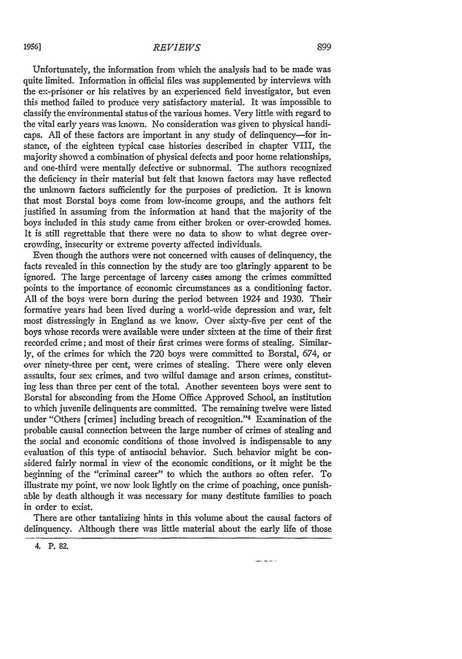Unfortunately, the information from which the analysis had to be made was quite limited. Information in official files was supplemented by interviews with the ex-prisoner or his relatives by an experienced field investigator, but even this method failed to produce very satisfactory material. It was impossible to classify the environmental status of the various homes. Very little with regard to the vital early years was known. No consideration was given to physical handicaps. All of these factors are important in any study of delinquency-for instance, of the eighteen typical case histories described in chapter VIII, the majority showed a combination of physical defects and poor home relationships, and one-third were mentally defective or subnormal. The authors recognized the deficiency in their material but felt that known factors may have reflected the unknown factors sufficiently for the purposes of prediction. It is known that most Borstal boys come from low-income groups, and the authors felt justified in assuming from the information at hand that the majority of the boys included in this study came from either broken or over-crowded homes. It is still regrettable that there were no data to show to what degree overcrowding, insecurity or extreme poverty affected individuals.

Even though the authors were not concerned with causes of delinquency, the facts revealed in this connection by the study are too glaringly apparent to be ignored. The large percentage of larceny cases among the crimes committed points to the importance of economic circumstances as a conditioning factor. All of the boys were born during the period between 1924 and 1930. Their formative years had been lived during a world-wide depression and war, felt most distressingly in England as we know. Over sixty-five per cent of the boys whose records were available were under sixteen at the time of their first recorded crime; and most of their first crimes were forms of stealing. Similarly, of the crimes for which the 720 boys were committed to Borstal, 674, or over ninety-three per cent, were crimes of stealing. There were only eleven assaults, four sex crimes, and two wilful damage and arson crimes, constituting less than three per cent of the total. Another seventeen boys were sent to Borstal for absconding from the Home Office Approved School, an institution to which juvenile delinquents are committed. The remaining twelve were listed under "Others [crimes] including breach of recognition."<sup>4</sup> Examination of the probable causal connection between the large number of crimes of stealing and the social and economic conditions of those involved is indispensable to any evaluation of this type of antisocial behavior. Such behavior might be considered fairly normal in view of the economic conditions, or it might be the beginning of the "criminal career" to which the authors so often refer. To illustrate my point, we now look lightly on the crime of poaching, once punishable by death although it was necessary for many destitute families to poach in order to exist.

There are other tantalizing hints in this volume about the causal factors of delinquency. Although there was little material about the early life of those

4. P. 82.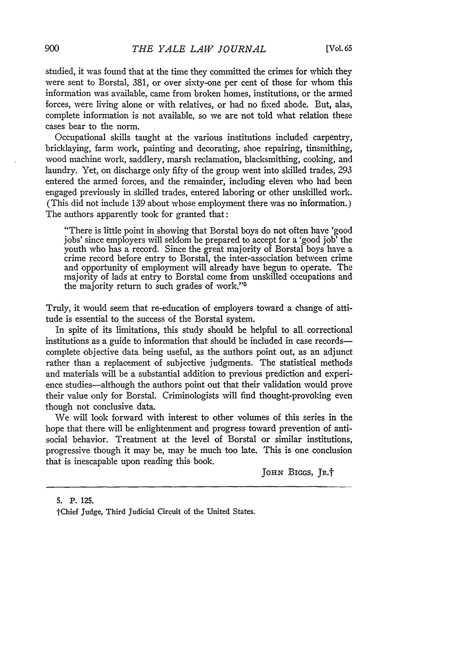studied, it was found that at the time they committed the crimes for which they were sent to Borstal, 381, or over sixty-one per cent of those for whom this information was available, came from broken homes, institutions, or the armed forces, were living alone or with relatives, or had no fixed abode. But, alas, complete information is not available, so we are not told what relation these cases bear to the norm.

Occupational skills taught at the various institutions included carpentry, bricklaying, farm work, painting and decorating, shoe repairing, tinsmithing, wood machine work, saddlery, marsh reclamation, blacksmithing, cooking, and laundry. Yet, on discharge only fifty of the group went into skilled trades, 293 entered the armed forces, and the remainder, including eleven who had been engaged previously in skilled trades, entered laboring or other unskilled work. (This did not include 139 about whose employment there was no information.) The authors apparently took for granted that:

"There is little point in showing that Borstal boys do not often have 'good jobs' since employers will seldom be prepared to accept for a 'good job' the youth who has a record. Since the great majority of Borstal boys have a crime record before entry to Borstal, the inter-association between crime and opportunity of employment will already have begun to operate. The majority of lads at entry to Borstal come from unskilled occupations and the majority return to such grades of work."<sup>5</sup>

Truly, it would seem that re-education of employers toward a change of attitude is essential to the success of the Borstal system.

In spite of its limitations, this study should be helpful to all correctional institutions as a guide to information that should be included in case records complete objective data being useful, as the authors point out, as an adjunct rather than a replacement of subjective judgments. The statistical methods and materials will be a substantial addition to previous prediction and experience studies-although the authors point out that their validation would prove their value only for Borstal. Criminologists will find thought-provoking even though not conclusive data.

We will look forward with interest to other volumes of this series in the hope that there will be enlightenment and progress toward prevention of antisocial behavior. Treatment at the level of Borstal or similar institutions, progressive though it may be, may be much too late. This is one conclusion that is inescapable upon reading this book.

JoHN **BIGGs, JR.f**

**5.** P. **125.** IChief Judge, Third Judicial Circuit of the United States.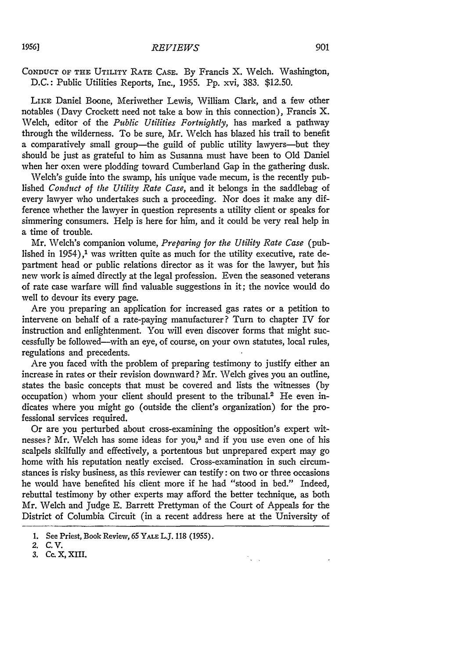## CONDUCT OF THE UTILITY RATE CASE. **By** Francis X. Welch. Washington, D.C.: Public Utilities Reports, Inc., 1955. **Pp.** xvi, 383. \$12.50.

LIKE Daniel Boone, Meriwether Lewis, William Clark, and a few other notables (Davy Crockett need not take a bow in this connection), Francis X. Welch, editor of the *Public Utilities Fortnightly,* has marked a pathway through the wilderness. To be sure, Mr. Welch has blazed his trail to benefit a comparatively small group-the guild of public utility lawyers-but they should be just as grateful to him as Susanna must have been to Old Daniel when her oxen were plodding toward Cumberland Gap in the gathering dusk.

Welch's guide into the swamp, his unique vade mecum, is the recently published *Conduct of the Utility Rate Case,* and it belongs in the saddlebag of every lawyer who undertakes such a proceeding. Nor does it make any difference whether the lawyer in question represents a utility client or speaks for simmering consumers. Help is here for him, and it could be very real help in a time of trouble.

Mr. Welch's companion volume, *Preparing for the Utility Rate Case* (published in  $1954$ ),<sup>1</sup> was written quite as much for the utility executive, rate department head or public relations director as it was for the lawyer, but his new work is aimed directly at the legal profession. Even the seasoned veterans of rate case warfare will find valuable suggestions in it; the novice would do well to devour its every page.

Are you preparing an application for increased gas rates or a petition to intervene on behalf of a rate-paying manufacturer? Turn to chapter IV for instruction and enlightenment. You will even discover forms that might successfully be followed-with an eye, of course, on your own statutes, local rules, regulations and precedents.

Are you faced with the problem of preparing testimony to justify either an increase in rates or their revision downward? Mr. Welch gives you an outline, states the basic concepts that must be covered and lists the witnesses (by occupation) whom your client should present to the tribunal.<sup>2</sup> He even indicates where you might go (outside the client's organization) for the professional services required.

Or are you perturbed about cross-examining the opposition's expert witnesses? Mr. Welch has some ideas for you,<sup>3</sup> and if you use even one of his scalpels skilfully and effectively, a portentous but unprepared expert may go home with his reputation neatly excised. Cross-examination in such circumstances is risky business, as this reviewer can testify: on two or three occasions he would have benefited his client more if he had "stood in bed." Indeed, rebuttal testimony by other experts may afford the better technique, as both Mr. Welch and Judge E. Barrett Prettyman of the Court of Appeals for the District of Columbia Circuit (in a recent address here at the University of

 $\mathcal{L}_{\mathbf{c},\mathbf{c},\mathbf{c}}$ 

*19561*

<sup>1.</sup> See Priest, Book Review, 65 YALE L.J. 118 (1955).

<sup>2.</sup> C.V.

**<sup>3.</sup> Cc.** X, XIII.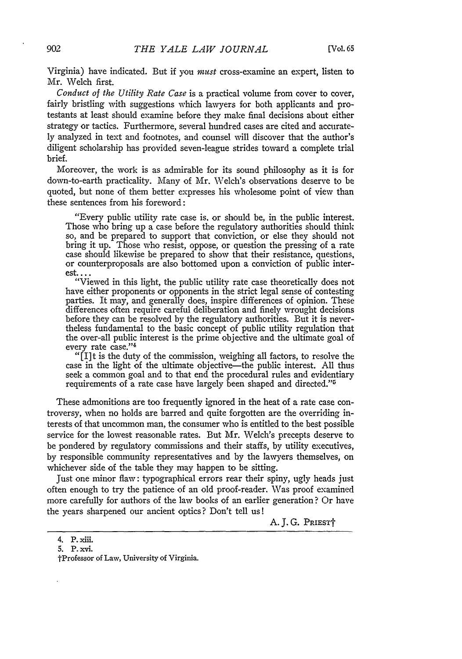Virginia) have indicated. But if you must cross-examine an expert, listen to Mr. Welch first.

*Conduct of the Utility Rate Case* is a practical volume from cover to cover, fairly bristling with suggestions which lawyers for both applicants and protestants at least should examine before they make final decisions about either strategy or tactics. Furthermore, several hundred cases are cited and accurately analyzed in text and footnotes, and counsel will discover that the author's diligent scholarship has provided seven-league strides toward a complete trial brief.

Moreover, the work is as admirable for its sound philosophy as it is for down-to-earth practicality. Many of Mr. Welch's observations deserve to be quoted, but none of them better expresses his wholesome point of view than these sentences from his foreword:

"Every public utility rate case is, or should be, in the public interest. Those who bring up a case before the regulatory authorities should think so, and be prepared to support that conviction, or else they should not bring it up. Those who resist, oppose, or question the pressing of a rate case should likewise be prepared to show that their resistance, questions, or counterproposals are also bottomed upon a conviction of public inter**est....**

"Viewed in this light, the public utility rate case theoretically does not have either proponents or opponents in the strict legal sense of contesting parties. It may, and generally does, inspire differences of opinion. These differences often require careful deliberation and finely wrought decisions before they can be resolved **by** the regulatory authorities. But it is nevertheless fundamental to the basic concept of public utility regulation that the over-all public interest is the prime objective and the ultimate goal of every rate case."<sup>4</sup>

"[I]t is the duty of the commission, weighing all factors, to resolve the case in the light of the ultimate objective—the public interest. All thus seek a common goal and to that end the procedural rules and evidentiary requirements of a rate case have largely been shaped and directed."'

These admonitions are too frequently ignored in the heat of a rate case controversy, when no holds are barred and quite forgotten are the overriding interests of that uncommon man, the consumer who is entitled to the best possible service for the lowest reasonable rates. But Mr. Welch's precepts deserve to be pondered by regulatory commissions and their staffs, by utility executives, by responsible community representatives and by the lawyers themselves, on whichever side of the table they may happen to be sitting.

Just one minor flaw: typographical errors rear their spiny, ugly heads just often enough to try the patience of an old proof-reader. Was proof examined more carefully for authors of the law books of an earlier generation? Or have the years sharpened our ancient optics? Don't tell us!

A. J. G. PRIEST†

<sup>4.</sup> P. xiii.

<sup>5.</sup> P. xvi.

tProfessor of Law, University of Virginia.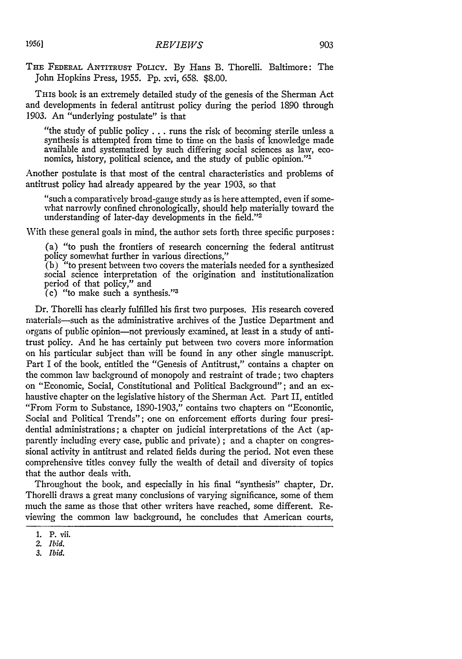**THE** FEDERAL ANTITRUST PoLIcy. By Hans B. Thorelli. Baltimore: The John Hopkins Press, 1955. Pp. xvi, 658. \$8.00.

THIS book is an extremely detailed study of the genesis of the Sherman Act and developments in federal antitrust policy during the period 1890 through 1903. An "underlying postulate" is that

"the study of public policy **...** runs the risk of becoming sterile unless a synthesis is attempted from time to time on the basis of knowledge made available and systematized by such differing social sciences as law, economics, history, political science, and the study of public opinion."<sup>1</sup>

Another postulate is that most of the central characteristics and problems of antitrust policy had already appeared by the year 1903, so that

"such a comparatively broad-gauge study as is here attempted, even if somewhat narrowly confined chronologically, should help materially toward the understanding of later-day developments in the field."'2

With these general goals in mind, the author sets forth three specific purposes:

(a) "to push the frontiers of research concerning the federal antitrust policy somewhat further in various directions,"

 $(b)$  "to present between two covers the materials needed for a synthesized social science interpretation of the origination and institutionalization period of that policy," and

(c) "to make such a synthesis."'3

Dr. Thorelli has clearly fulfilled his first two purposes. His research covered materials-such as the administrative archives of the Justice Department and organs of public opinion-not previously examined, at least in a study of antitrust policy. And he has certainly put between two covers more information on his particular subject than will be found in any other single manuscript. Part I of the book, entitled the "Genesis of Antitrust," contains a chapter on the common law background of monopoly and restraint of trade; two chapters on "Economic, Social, Constitutional and Political Background"; and an exhaustive chapter on the legislative history of the Sherman Act. Part II, entitled "From Form to Substance, 1890-1903," contains two chapters on "Econonlic, Social and Political Trends"; one on enforcement efforts during four presidential administrations; a chapter on judicial interpretations of the Act (apparently including every case, public and private) ; and a chapter on congressional activity in antitrust and related fields during the period. Not even these comprehensive titles convey fully the wealth of detail and diversity of topics that the author deals with.

Throughout the book, and especially in his final "synthesis" chapter, Dr. Thorelli draws a great many conclusions of varying significance, some of them much the same as those that other writers have reached, some different. Reviewing the common law background, he concludes that American courts,

**<sup>1.</sup> P. Vii.**

*<sup>2.</sup> Ibid.*

*<sup>3.</sup> Ibid.*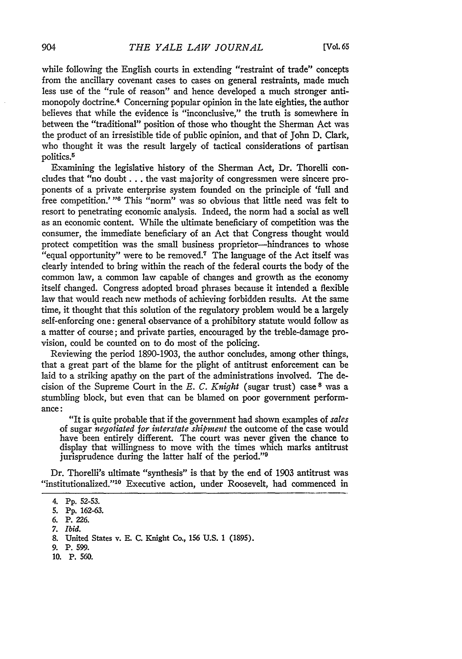while following the English courts in extending "restraint of trade" concepts from the ancillary covenant cases to cases on general restraints, made much less use of the "rule of reason" and hence developed a much stronger antimonopoly doctrine.<sup>4</sup> Concerning popular opinion in the late eighties, the author believes that while the evidence is "inconclusive," the truth is somewhere in between the "traditional" position of those who thought the Sherman Act was the product of an irresistible tide of public opinion, and that of John D. Clark, who thought it was the result largely of tactical considerations of partisan politics.5

Examining the legislative history of the Sherman Act, Dr. Thorelli concludes that "no doubt... the vast majority of congressmen were sincere proponents of a private enterprise system founded on the principle of 'full and free competition.' **"6** This "norm" was so obvious that little need was felt to resort to penetrating economic analysis. Indeed, the norm had a social as well as an economic content. While the ultimate beneficiary of competition was the consumer, the immediate beneficiary of an Act that Congress thought would protect competition was the small business proprietor-hindrances to whose "equal opportunity" were to be removed." The language of the Act itself was clearly intended to bring within the reach of the federal courts the body of the common law, a common law capable of changes and growth as the economy itself changed. Congress adopted broad phrases because it intended a flexible law that would reach new methods of achieving forbidden results. At the same time, it thought that this solution of the regulatory problem would be a largely self-enforcing one: general observance of a prohibitory statute would follow as a matter of course; and private parties, encouraged by the treble-damage provision, could be counted on to do most of the policing.

Reviewing the period 1890-1903, the author concludes, among other things, that a great part of the blame for the plight of antitrust enforcement can be laid to a striking apathy on the part of the administrations involved. The decision of the Supreme Court in the *E. C. Knight* (sugar trust) case **<sup>8</sup>**was a stumbling block, but even that can be blamed on poor government performance:

"It is quite probable that if the government had shown examples of *sales* of sugar *negotiated for interstate shipment* the outcome of the case would have been entirely different. The court was never given the chance to display that willingness to move with the times which marks antitrust jurisprudence during the latter half of the period."<sup>9</sup>

Dr. Thorelli's ultimate "synthesis" is that **by** the end of 1903 antitrust was "institutionalized."<sup>10</sup> Executive action, under Roosevelt, had commenced in

- **9.** P. **599.**
- **10. P. 560.**

<sup>4.</sup> **Pp.** 52-53.

<sup>5.</sup> **Pp.** 162-63.

<sup>6.</sup> P. 226.

<sup>7.</sup> *Ibid.*

<sup>8.</sup> United States v. E. C. Knight Co., 156 U.S. 1 (1895).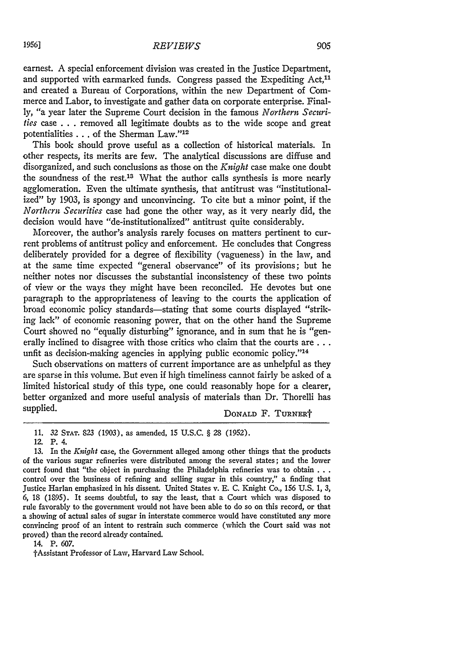earnest. A special enforcement division was created in the Justice Department, and supported with earmarked funds. Congress passed the Expediting Act,<sup>11</sup> and created a Bureau of Corporations, within the new Department of Commerce and Labor, to investigate and gather data on corporate enterprise. Finally, "a year later the Supreme Court decision in the famous *Northern Securi-*

*ties* case . . . removed all legitimate doubts as to the wide scope and great potentialities . . . of the Sherman Law."<sup>12</sup>

This book should prove useful as a collection of historical materials. In other respects, its merits are few. The analytical discussions are diffuse and disorganized, and such conclusions as those on the *Knight* case make one doubt the soundness of the rest.<sup>13</sup> What the author calls synthesis is more nearly agglomeration. Even the ultimate synthesis, that antitrust was "institutionalized" by 1903, is spongy and unconvincing. To cite but a minor point, if the *Northern Securities* case had gone the other way, as it very nearly did, the decision would have "de-institutionalized" antitrust quite considerably.

Moreover, the author's analysis rarely focuses on matters pertinent to current problems of antitrust policy and enforcement. He concludes that Congress deliberately provided for a degree of flexibility (vagueness) in the law, and at the same time expected "general observance" of its provisions; but he neither notes nor discusses the substantial inconsistency of these two points of view or the ways they might have been reconciled. He devotes but one paragraph to the appropriateness of leaving to the courts the application of broad economic policy standards-stating that some courts displayed "striking lack" of economic reasoning power, that on the other hand the Supreme Court showed no "equally disturbing" ignorance, and in sum that he is "generally inclined to disagree with those critics who claim that the courts **are...** unfit as decision-making agencies in applying public economic policy."<sup>14</sup>

Such observations on matters of current importance are as unhelpful as they are sparse in this volume. But even if high timeliness cannot fairly be asked of a limited historical study of this type, one could reasonably hope for a clearer, better organized and more useful analysis of materials than Dr. Thorelli has supplied. **DONALD F. TURNERT** 

14. P. 607.

tAssistant Professor of Law, Harvard Law School.

<sup>11. 32</sup> **STAT.** 823 (1903), as amended, 15 U.S.C. § 28 (1952).

<sup>12.</sup> P. 4.

<sup>13.</sup> In the *Knight* case, the Government alleged among other things that the products of the various sugar refineries were distributed among the several states; and the lower court found that "the object in purchasing the Philadelphia refineries was to obtain **. . .** control over the business of refining and selling sugar in this country," a finding that Justice Harlan emphasized in his dissent. United States v. E. C. Knight Co., 156 U.S. 1, *3,* 6, 18 (1895). It seems doubtful, to say the least, that a Court which was disposed to rule favorably to the government would not have been able to do so on this record, or that a showing of actual sales of sugar in interstate commerce would have constituted any more convincing proof of an intent to restrain such commerce (which the Court said was not proved) than the record already contained.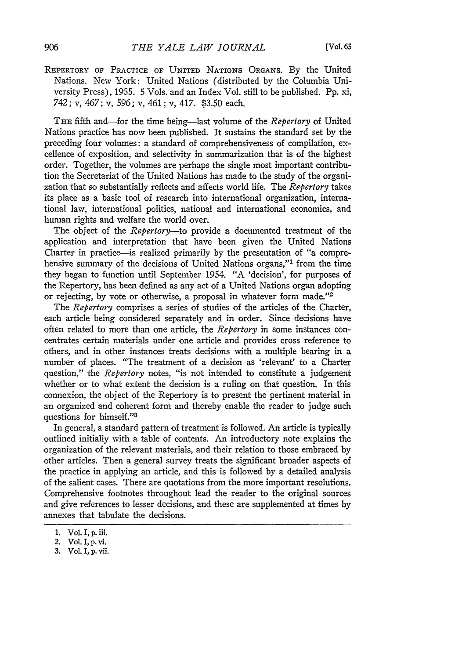**REPERTORY OF** PRACTICE **OF UNITED NATIONS** ORGANS. **By** the United Nations. New York: United Nations (distributed by the Columbia University Press), 1955. *5* Vols. and an Index Vol. still to be published. Pp. xi, 742; v, 467; v, *596;* v, 461; v, 417. \$3.50 each.

THE fifth and-for the time being-last volume of the *Repertory* of United Nations practice has now been published. It sustains the standard set by the preceding four volumes: a standard of comprehensiveness of compilation, excellence of exposition, and selectivity in summarization that is of the highest order. Together, the volumes are perhaps the single most important contribution the Secretariat of the United Nations has made to the study of the organization that so substantially reflects and affects world life. The *Repertory* takes its place as a basic tool of research into international organization, international law, international politics, national and international economics, and human rights and welfare the world over.

The object of the *Repertory-to* provide a documented treatment of the application and interpretation that have been given the United Nations Charter in practice-is realized primarily by the presentation of "a comprehensive summary of the decisions of United Nations organs,"<sup>1</sup> from the time they began to function until September 1954. "A 'decision', for purposes of the Repertory, has been defined as any act of a United Nations organ adopting or rejecting, by vote or otherwise, a proposal in whatever form made."<sup>2</sup>

The *Repertory* comprises a series of studies of the articles of the Charter, each article being considered separately and in order. Since decisions have often related to more than one article, the *Repertory* in some instances concentrates certain materials under one article and provides cross reference to others, and in other instances treats decisions with a multiple bearing in a number of places. "The treatment of a decision as 'relevant' to a Charter question," the *Repertory* notes, "is not intended to constitute a judgement whether or to what extent the decision is a ruling on that question. In this connexion, the object of the Repertory is to present the pertinent material in an organized and coherent form and thereby enable the reader to judge such questions for himself."<sup>3</sup>

In general, a standard pattern of treatment is followed. An article is typically outlined initially with a table of contents. An introductory note explains the organization of the relevant materials, and their relation to those embraced by other articles. Then a general survey treats the significant broader aspects of the practice in applying an article, and this is followed by a detailed analysis of the salient cases. There are quotations from the more important resolutions. Comprehensive footnotes throughout lead the reader to the original sources and give references to lesser decisions, and these are supplemented at times by annexes that tabulate the decisions.

**<sup>1.</sup>** Vol. I, **p. iii.**

<sup>2.</sup> Vol. I, **p.** vi.

**<sup>3.</sup>** Vol. I, **p.** vii.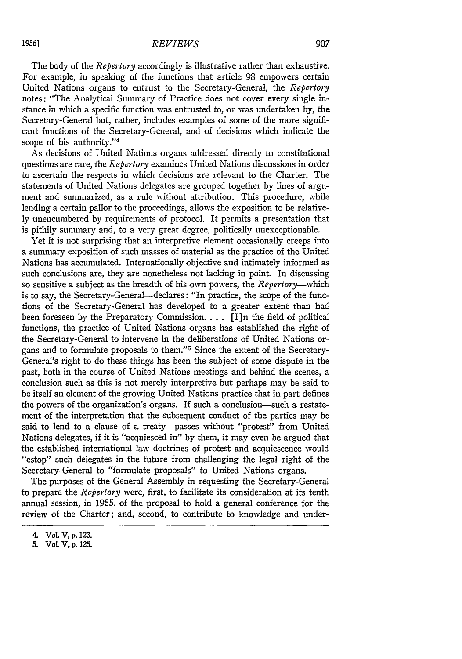The body of the *Repertory* accordingly is illustrative rather than exhaustive. For example, in speaking of the functions that article 98 empowers certain United Nations organs to entrust to the Secretary-General, the *Repertory* notes: "The Analytical Summary of Practice does not cover every single instance in which a specific function was entrusted to, or was undertaken by, the Secretary-General but, rather, includes examples of some of the more significant functions of the Secretary-General, and of decisions which indicate the scope of his authority."<sup>4</sup>

As decisions of United Nations organs addressed directly to constitutional questions are rare, the *Repertory* examines United Nations discussions in order to ascertain the respects in which decisions are relevant to the Charter. The statements of United Nations delegates are grouped together by lines of argument and summarized, as a rule without attribution. This procedure, while lending a certain pallor to the proceedings, allows the exposition to be relatively unencumbered by requirements of protocol. It permits a presentation that is pithily summary and, to a very great degree, politically unexceptionable.

Yet it is not surprising that an interpretive element occasionally creeps into a summary exposition of such masses of material as the practice of the United Nations has accumulated. Internationally objective and intimately informed as such conclusions are, they are nonetheless not lacking in point. In discussing so sensitive a subject as the breadth of his own powers, the *Repertory-which* is to say, the Secretary-General--declares: "In practice, the scope of the functions of the Secretary-General has developed to a greater extent than had been foreseen by the Preparatory Commission **....** [I]n the field of political functions, the practice of United Nations organs has established the right of the Secretary-General to intervene in the deliberations of United Nations organs and to formulate proposals to them."5 Since the extent of the Secretary-General's right to do these things has been the subject of some dispute in the past, both in the course of United Nations meetings and behind the scenes, a conclusion such as this is not merely interpretive but perhaps may be said to be itself an element of the growing United Nations practice that in part defines the powers of the organization's organs. If such a conclusion-such a restatement of the interpretation that the subsequent conduct of the parties may be said to lend to a clause of a treaty--passes without "protest" from United Nations delegates, if it is "acquiesced in" by them, it may even be argued that the established international law doctrines of protest and acquiescence would "estop" such delegates in the future from challenging the legal right of the Secretary-General to "formulate proposals" to United Nations organs.

The purposes of the General Assembly in requesting the Secretary-General to prepare the *Repertory* were, first, to facilitate its consideration at its tenth annual session, in 1955, of the proposal to hold a general conference for the review of the Charter; and, second, to contribute to knowledge and under-

<sup>4.</sup> Vol. V, p. **123.**

**<sup>5.</sup>** Vol. V, **p. 125.**